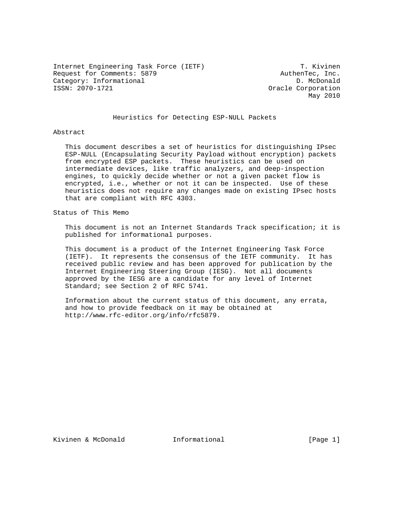Internet Engineering Task Force (IETF) T. Kivinen Request for Comments: 5879 AuthenTec, Inc. Category: Informational D. McDonald<br>
ISSN: 2070-1721 Cracle Corporation

Oracle Corporation May 2010

# Heuristics for Detecting ESP-NULL Packets

Abstract

 This document describes a set of heuristics for distinguishing IPsec ESP-NULL (Encapsulating Security Payload without encryption) packets from encrypted ESP packets. These heuristics can be used on intermediate devices, like traffic analyzers, and deep-inspection engines, to quickly decide whether or not a given packet flow is encrypted, i.e., whether or not it can be inspected. Use of these heuristics does not require any changes made on existing IPsec hosts that are compliant with RFC 4303.

Status of This Memo

 This document is not an Internet Standards Track specification; it is published for informational purposes.

 This document is a product of the Internet Engineering Task Force (IETF). It represents the consensus of the IETF community. It has received public review and has been approved for publication by the Internet Engineering Steering Group (IESG). Not all documents approved by the IESG are a candidate for any level of Internet Standard; see Section 2 of RFC 5741.

 Information about the current status of this document, any errata, and how to provide feedback on it may be obtained at http://www.rfc-editor.org/info/rfc5879.

Kivinen & McDonald 1nformational 11 (Page 1)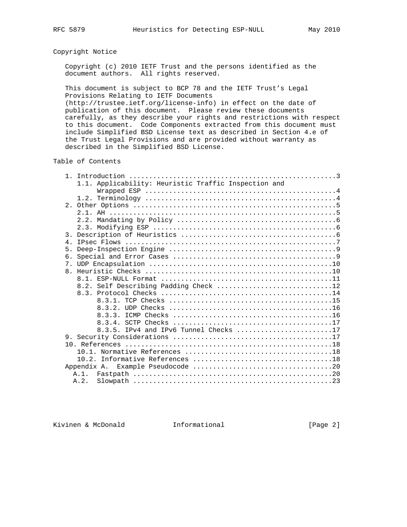# Copyright Notice

 Copyright (c) 2010 IETF Trust and the persons identified as the document authors. All rights reserved.

 This document is subject to BCP 78 and the IETF Trust's Legal Provisions Relating to IETF Documents (http://trustee.ietf.org/license-info) in effect on the date of

 publication of this document. Please review these documents carefully, as they describe your rights and restrictions with respect to this document. Code Components extracted from this document must include Simplified BSD License text as described in Section 4.e of the Trust Legal Provisions and are provided without warranty as described in the Simplified BSD License.

Table of Contents

|                | 1.1. Applicability: Heuristic Traffic Inspection and |
|----------------|------------------------------------------------------|
|                |                                                      |
|                |                                                      |
|                |                                                      |
|                |                                                      |
|                |                                                      |
|                |                                                      |
| 3.             |                                                      |
| $\overline{4}$ |                                                      |
| 5.             |                                                      |
| 6.             |                                                      |
| 7 <sub>1</sub> |                                                      |
| 8 <sub>1</sub> |                                                      |
|                |                                                      |
|                | 8.2. Self Describing Padding Check 12                |
|                |                                                      |
|                |                                                      |
|                |                                                      |
|                |                                                      |
|                |                                                      |
|                | 8.3.5. IPv4 and IPv6 Tunnel Checks 17                |
|                |                                                      |
|                |                                                      |
|                |                                                      |
|                |                                                      |
|                | Appendix A.                                          |
|                |                                                      |
|                | A.2.                                                 |

Kivinen & McDonald 1nformational 100 (Page 2)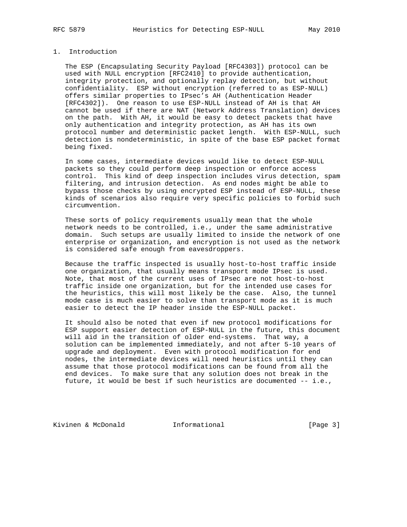# 1. Introduction

 The ESP (Encapsulating Security Payload [RFC4303]) protocol can be used with NULL encryption [RFC2410] to provide authentication, integrity protection, and optionally replay detection, but without confidentiality. ESP without encryption (referred to as ESP-NULL) offers similar properties to IPsec's AH (Authentication Header [RFC4302]). One reason to use ESP-NULL instead of AH is that AH cannot be used if there are NAT (Network Address Translation) devices on the path. With AH, it would be easy to detect packets that have only authentication and integrity protection, as AH has its own protocol number and deterministic packet length. With ESP-NULL, such detection is nondeterministic, in spite of the base ESP packet format being fixed.

 In some cases, intermediate devices would like to detect ESP-NULL packets so they could perform deep inspection or enforce access control. This kind of deep inspection includes virus detection, spam filtering, and intrusion detection. As end nodes might be able to bypass those checks by using encrypted ESP instead of ESP-NULL, these kinds of scenarios also require very specific policies to forbid such circumvention.

 These sorts of policy requirements usually mean that the whole network needs to be controlled, i.e., under the same administrative domain. Such setups are usually limited to inside the network of one enterprise or organization, and encryption is not used as the network is considered safe enough from eavesdroppers.

 Because the traffic inspected is usually host-to-host traffic inside one organization, that usually means transport mode IPsec is used. Note, that most of the current uses of IPsec are not host-to-host traffic inside one organization, but for the intended use cases for the heuristics, this will most likely be the case. Also, the tunnel mode case is much easier to solve than transport mode as it is much easier to detect the IP header inside the ESP-NULL packet.

 It should also be noted that even if new protocol modifications for ESP support easier detection of ESP-NULL in the future, this document will aid in the transition of older end-systems. That way, a solution can be implemented immediately, and not after 5-10 years of upgrade and deployment. Even with protocol modification for end nodes, the intermediate devices will need heuristics until they can assume that those protocol modifications can be found from all the end devices. To make sure that any solution does not break in the future, it would be best if such heuristics are documented -- i.e.,

Kivinen & McDonald **Informational** [Page 3]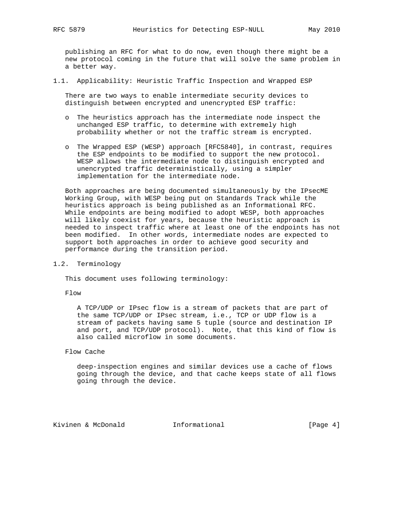publishing an RFC for what to do now, even though there might be a new protocol coming in the future that will solve the same problem in a better way.

1.1. Applicability: Heuristic Traffic Inspection and Wrapped ESP

 There are two ways to enable intermediate security devices to distinguish between encrypted and unencrypted ESP traffic:

- o The heuristics approach has the intermediate node inspect the unchanged ESP traffic, to determine with extremely high probability whether or not the traffic stream is encrypted.
- o The Wrapped ESP (WESP) approach [RFC5840], in contrast, requires the ESP endpoints to be modified to support the new protocol. WESP allows the intermediate node to distinguish encrypted and unencrypted traffic deterministically, using a simpler implementation for the intermediate node.

 Both approaches are being documented simultaneously by the IPsecME Working Group, with WESP being put on Standards Track while the heuristics approach is being published as an Informational RFC. While endpoints are being modified to adopt WESP, both approaches will likely coexist for years, because the heuristic approach is needed to inspect traffic where at least one of the endpoints has not been modified. In other words, intermediate nodes are expected to support both approaches in order to achieve good security and performance during the transition period.

1.2. Terminology

This document uses following terminology:

Flow

 A TCP/UDP or IPsec flow is a stream of packets that are part of the same TCP/UDP or IPsec stream, i.e., TCP or UDP flow is a stream of packets having same 5 tuple (source and destination IP and port, and TCP/UDP protocol). Note, that this kind of flow is also called microflow in some documents.

## Flow Cache

 deep-inspection engines and similar devices use a cache of flows going through the device, and that cache keeps state of all flows going through the device.

Kivinen & McDonald 1nformational 11.1 [Page 4]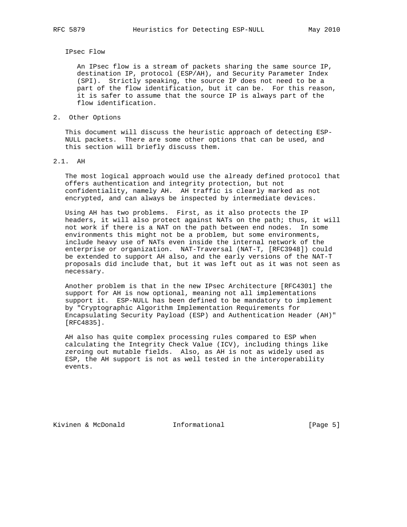#### IPsec Flow

 An IPsec flow is a stream of packets sharing the same source IP, destination IP, protocol (ESP/AH), and Security Parameter Index (SPI). Strictly speaking, the source IP does not need to be a part of the flow identification, but it can be. For this reason, it is safer to assume that the source IP is always part of the flow identification.

2. Other Options

 This document will discuss the heuristic approach of detecting ESP- NULL packets. There are some other options that can be used, and this section will briefly discuss them.

### 2.1. AH

 The most logical approach would use the already defined protocol that offers authentication and integrity protection, but not confidentiality, namely AH. AH traffic is clearly marked as not encrypted, and can always be inspected by intermediate devices.

 Using AH has two problems. First, as it also protects the IP headers, it will also protect against NATs on the path; thus, it will not work if there is a NAT on the path between end nodes. In some environments this might not be a problem, but some environments, include heavy use of NATs even inside the internal network of the enterprise or organization. NAT-Traversal (NAT-T, [RFC3948]) could be extended to support AH also, and the early versions of the NAT-T proposals did include that, but it was left out as it was not seen as necessary.

 Another problem is that in the new IPsec Architecture [RFC4301] the support for AH is now optional, meaning not all implementations support it. ESP-NULL has been defined to be mandatory to implement by "Cryptographic Algorithm Implementation Requirements for Encapsulating Security Payload (ESP) and Authentication Header (AH)" [RFC4835].

 AH also has quite complex processing rules compared to ESP when calculating the Integrity Check Value (ICV), including things like zeroing out mutable fields. Also, as AH is not as widely used as ESP, the AH support is not as well tested in the interoperability events.

Kivinen & McDonald **Informational Informational** [Page 5]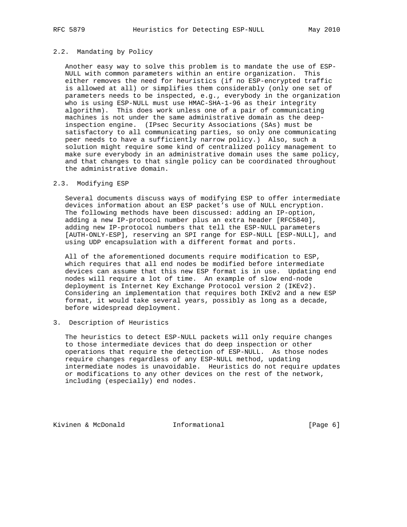# 2.2. Mandating by Policy

 Another easy way to solve this problem is to mandate the use of ESP- NULL with common parameters within an entire organization. This either removes the need for heuristics (if no ESP-encrypted traffic is allowed at all) or simplifies them considerably (only one set of parameters needs to be inspected, e.g., everybody in the organization who is using ESP-NULL must use HMAC-SHA-1-96 as their integrity algorithm). This does work unless one of a pair of communicating machines is not under the same administrative domain as the deep inspection engine. (IPsec Security Associations (SAs) must be satisfactory to all communicating parties, so only one communicating peer needs to have a sufficiently narrow policy.) Also, such a solution might require some kind of centralized policy management to make sure everybody in an administrative domain uses the same policy, and that changes to that single policy can be coordinated throughout the administrative domain.

## 2.3. Modifying ESP

 Several documents discuss ways of modifying ESP to offer intermediate devices information about an ESP packet's use of NULL encryption. The following methods have been discussed: adding an IP-option, adding a new IP-protocol number plus an extra header [RFC5840], adding new IP-protocol numbers that tell the ESP-NULL parameters [AUTH-ONLY-ESP], reserving an SPI range for ESP-NULL [ESP-NULL], and using UDP encapsulation with a different format and ports.

 All of the aforementioned documents require modification to ESP, which requires that all end nodes be modified before intermediate devices can assume that this new ESP format is in use. Updating end nodes will require a lot of time. An example of slow end-node deployment is Internet Key Exchange Protocol version 2 (IKEv2). Considering an implementation that requires both IKEv2 and a new ESP format, it would take several years, possibly as long as a decade, before widespread deployment.

## 3. Description of Heuristics

 The heuristics to detect ESP-NULL packets will only require changes to those intermediate devices that do deep inspection or other operations that require the detection of ESP-NULL. As those nodes require changes regardless of any ESP-NULL method, updating intermediate nodes is unavoidable. Heuristics do not require updates or modifications to any other devices on the rest of the network, including (especially) end nodes.

Kivinen & McDonald **Informational Informational** [Page 6]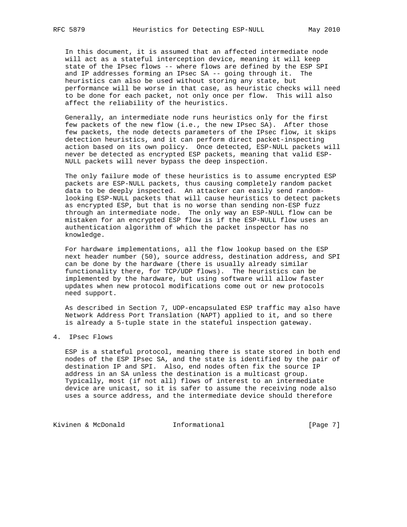In this document, it is assumed that an affected intermediate node will act as a stateful interception device, meaning it will keep state of the IPsec flows -- where flows are defined by the ESP SPI and IP addresses forming an IPsec SA -- going through it. The heuristics can also be used without storing any state, but performance will be worse in that case, as heuristic checks will need to be done for each packet, not only once per flow. This will also affect the reliability of the heuristics.

 Generally, an intermediate node runs heuristics only for the first few packets of the new flow (i.e., the new IPsec SA). After those few packets, the node detects parameters of the IPsec flow, it skips detection heuristics, and it can perform direct packet-inspecting action based on its own policy. Once detected, ESP-NULL packets will never be detected as encrypted ESP packets, meaning that valid ESP- NULL packets will never bypass the deep inspection.

 The only failure mode of these heuristics is to assume encrypted ESP packets are ESP-NULL packets, thus causing completely random packet data to be deeply inspected. An attacker can easily send random looking ESP-NULL packets that will cause heuristics to detect packets as encrypted ESP, but that is no worse than sending non-ESP fuzz through an intermediate node. The only way an ESP-NULL flow can be mistaken for an encrypted ESP flow is if the ESP-NULL flow uses an authentication algorithm of which the packet inspector has no knowledge.

 For hardware implementations, all the flow lookup based on the ESP next header number (50), source address, destination address, and SPI can be done by the hardware (there is usually already similar functionality there, for TCP/UDP flows). The heuristics can be implemented by the hardware, but using software will allow faster updates when new protocol modifications come out or new protocols need support.

 As described in Section 7, UDP-encapsulated ESP traffic may also have Network Address Port Translation (NAPT) applied to it, and so there is already a 5-tuple state in the stateful inspection gateway.

## 4. IPsec Flows

 ESP is a stateful protocol, meaning there is state stored in both end nodes of the ESP IPsec SA, and the state is identified by the pair of destination IP and SPI. Also, end nodes often fix the source IP address in an SA unless the destination is a multicast group. Typically, most (if not all) flows of interest to an intermediate device are unicast, so it is safer to assume the receiving node also uses a source address, and the intermediate device should therefore

Kivinen & McDonald **Informational Informational** [Page 7]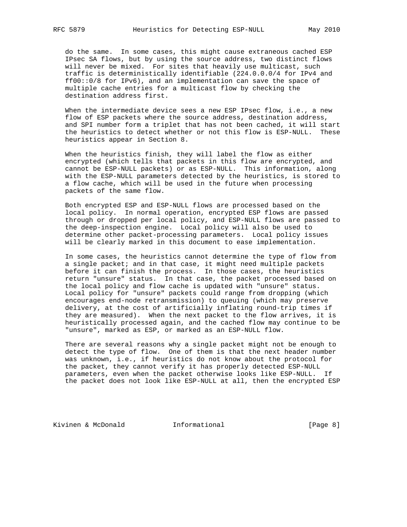do the same. In some cases, this might cause extraneous cached ESP IPsec SA flows, but by using the source address, two distinct flows will never be mixed. For sites that heavily use multicast, such traffic is deterministically identifiable (224.0.0.0/4 for IPv4 and ff00::0/8 for IPv6), and an implementation can save the space of multiple cache entries for a multicast flow by checking the destination address first.

When the intermediate device sees a new ESP IPsec flow, i.e., a new flow of ESP packets where the source address, destination address, and SPI number form a triplet that has not been cached, it will start the heuristics to detect whether or not this flow is ESP-NULL. These heuristics appear in Section 8.

 When the heuristics finish, they will label the flow as either encrypted (which tells that packets in this flow are encrypted, and cannot be ESP-NULL packets) or as ESP-NULL. This information, along with the ESP-NULL parameters detected by the heuristics, is stored to a flow cache, which will be used in the future when processing packets of the same flow.

 Both encrypted ESP and ESP-NULL flows are processed based on the local policy. In normal operation, encrypted ESP flows are passed through or dropped per local policy, and ESP-NULL flows are passed to the deep-inspection engine. Local policy will also be used to determine other packet-processing parameters. Local policy issues will be clearly marked in this document to ease implementation.

 In some cases, the heuristics cannot determine the type of flow from a single packet; and in that case, it might need multiple packets before it can finish the process. In those cases, the heuristics return "unsure" status. In that case, the packet processed based on the local policy and flow cache is updated with "unsure" status. Local policy for "unsure" packets could range from dropping (which encourages end-node retransmission) to queuing (which may preserve delivery, at the cost of artificially inflating round-trip times if they are measured). When the next packet to the flow arrives, it is heuristically processed again, and the cached flow may continue to be "unsure", marked as ESP, or marked as an ESP-NULL flow.

 There are several reasons why a single packet might not be enough to detect the type of flow. One of them is that the next header number was unknown, i.e., if heuristics do not know about the protocol for the packet, they cannot verify it has properly detected ESP-NULL parameters, even when the packet otherwise looks like ESP-NULL. If the packet does not look like ESP-NULL at all, then the encrypted ESP

Kivinen & McDonald **Informational** [Page 8]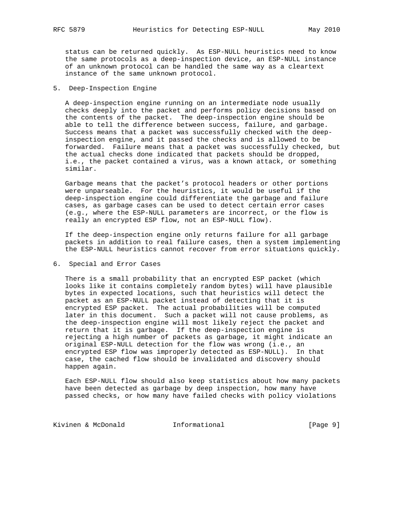status can be returned quickly. As ESP-NULL heuristics need to know the same protocols as a deep-inspection device, an ESP-NULL instance of an unknown protocol can be handled the same way as a cleartext instance of the same unknown protocol.

5. Deep-Inspection Engine

 A deep-inspection engine running on an intermediate node usually checks deeply into the packet and performs policy decisions based on the contents of the packet. The deep-inspection engine should be able to tell the difference between success, failure, and garbage. Success means that a packet was successfully checked with the deep inspection engine, and it passed the checks and is allowed to be forwarded. Failure means that a packet was successfully checked, but the actual checks done indicated that packets should be dropped, i.e., the packet contained a virus, was a known attack, or something similar.

 Garbage means that the packet's protocol headers or other portions were unparseable. For the heuristics, it would be useful if the deep-inspection engine could differentiate the garbage and failure cases, as garbage cases can be used to detect certain error cases (e.g., where the ESP-NULL parameters are incorrect, or the flow is really an encrypted ESP flow, not an ESP-NULL flow).

 If the deep-inspection engine only returns failure for all garbage packets in addition to real failure cases, then a system implementing the ESP-NULL heuristics cannot recover from error situations quickly.

6. Special and Error Cases

 There is a small probability that an encrypted ESP packet (which looks like it contains completely random bytes) will have plausible bytes in expected locations, such that heuristics will detect the packet as an ESP-NULL packet instead of detecting that it is encrypted ESP packet. The actual probabilities will be computed later in this document. Such a packet will not cause problems, as the deep-inspection engine will most likely reject the packet and return that it is garbage. If the deep-inspection engine is rejecting a high number of packets as garbage, it might indicate an original ESP-NULL detection for the flow was wrong (i.e., an encrypted ESP flow was improperly detected as ESP-NULL). In that case, the cached flow should be invalidated and discovery should happen again.

 Each ESP-NULL flow should also keep statistics about how many packets have been detected as garbage by deep inspection, how many have passed checks, or how many have failed checks with policy violations

Kivinen & McDonald **Informational Informational** [Page 9]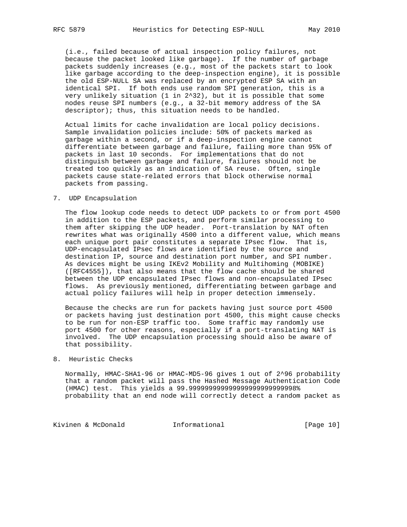(i.e., failed because of actual inspection policy failures, not because the packet looked like garbage). If the number of garbage packets suddenly increases (e.g., most of the packets start to look like garbage according to the deep-inspection engine), it is possible the old ESP-NULL SA was replaced by an encrypted ESP SA with an identical SPI. If both ends use random SPI generation, this is a very unlikely situation (1 in 2^32), but it is possible that some nodes reuse SPI numbers (e.g., a 32-bit memory address of the SA descriptor); thus, this situation needs to be handled.

 Actual limits for cache invalidation are local policy decisions. Sample invalidation policies include: 50% of packets marked as garbage within a second, or if a deep-inspection engine cannot differentiate between garbage and failure, failing more than 95% of packets in last 10 seconds. For implementations that do not distinguish between garbage and failure, failures should not be treated too quickly as an indication of SA reuse. Often, single packets cause state-related errors that block otherwise normal packets from passing.

#### 7. UDP Encapsulation

 The flow lookup code needs to detect UDP packets to or from port 4500 in addition to the ESP packets, and perform similar processing to them after skipping the UDP header. Port-translation by NAT often rewrites what was originally 4500 into a different value, which means each unique port pair constitutes a separate IPsec flow. That is, UDP-encapsulated IPsec flows are identified by the source and destination IP, source and destination port number, and SPI number. As devices might be using IKEv2 Mobility and Multihoming (MOBIKE) ([RFC4555]), that also means that the flow cache should be shared between the UDP encapsulated IPsec flows and non-encapsulated IPsec flows. As previously mentioned, differentiating between garbage and actual policy failures will help in proper detection immensely.

 Because the checks are run for packets having just source port 4500 or packets having just destination port 4500, this might cause checks to be run for non-ESP traffic too. Some traffic may randomly use port 4500 for other reasons, especially if a port-translating NAT is involved. The UDP encapsulation processing should also be aware of that possibility.

#### 8. Heuristic Checks

 Normally, HMAC-SHA1-96 or HMAC-MD5-96 gives 1 out of 2^96 probability that a random packet will pass the Hashed Message Authentication Code (HMAC) test. This yields a 99.999999999999999999999999998% probability that an end node will correctly detect a random packet as

Kivinen & McDonald **Informational** [Page 10]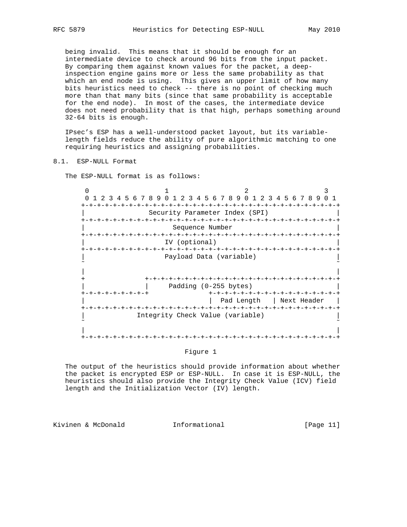being invalid. This means that it should be enough for an intermediate device to check around 96 bits from the input packet. By comparing them against known values for the packet, a deep inspection engine gains more or less the same probability as that which an end node is using. This gives an upper limit of how many bits heuristics need to check -- there is no point of checking much more than that many bits (since that same probability is acceptable for the end node). In most of the cases, the intermediate device does not need probability that is that high, perhaps something around 32-64 bits is enough.

 IPsec's ESP has a well-understood packet layout, but its variable length fields reduce the ability of pure algorithmic matching to one requiring heuristics and assigning probabilities.

# 8.1. ESP-NULL Format

The ESP-NULL format is as follows:

 $0$  1 2 3 0 1 2 3 4 5 6 7 8 9 0 1 2 3 4 5 6 7 8 9 0 1 2 3 4 5 6 7 8 9 0 1 +-+-+-+-+-+-+-+-+-+-+-+-+-+-+-+-+-+-+-+-+-+-+-+-+-+-+-+-+-+-+-+-+ Security Parameter Index (SPI) +-+-+-+-+-+-+-+-+-+-+-+-+-+-+-+-+-+-+-+-+-+-+-+-+-+-+-+-+-+-+-+-+ Sequence Number +-+-+-+-+-+-+-+-+-+-+-+-+-+-+-+-+-+-+-+-+-+-+-+-+-+-+-+-+-+-+-+-+ IV (optional) +-+-+-+-+-+-+-+-+-+-+-+-+-+-+-+-+-+-+-+-+-+-+-+-+-+-+-+-+-+-+-+-+ Payload Data (variable) ˜ ˜ | | + +-+-+-+-+-+-+-+-+-+-+-+-+-+-+-+-+-+-+-+-+-+-+-+-+ | | Padding (0-255 bytes) | +-+-+-+-+-+-+-+-+ +-+-+-+-+-+-+-+-+-+-+-+-+-+-+-+-+ | Pad Length | Next Header | +-+-+-+-+-+-+-+-+-+-+-+-+-+-+-+-+-+-+-+-+-+-+-+-+-+-+-+-+-+-+-+-+ Integrity Check Value (variable) ˜ ˜ | | +-+-+-+-+-+-+-+-+-+-+-+-+-+-+-+-+-+-+-+-+-+-+-+-+-+-+-+-+-+-+-+-+

## Figure 1

 The output of the heuristics should provide information about whether the packet is encrypted ESP or ESP-NULL. In case it is ESP-NULL, the heuristics should also provide the Integrity Check Value (ICV) field length and the Initialization Vector (IV) length.

Kivinen & McDonald **Informational** [Page 11]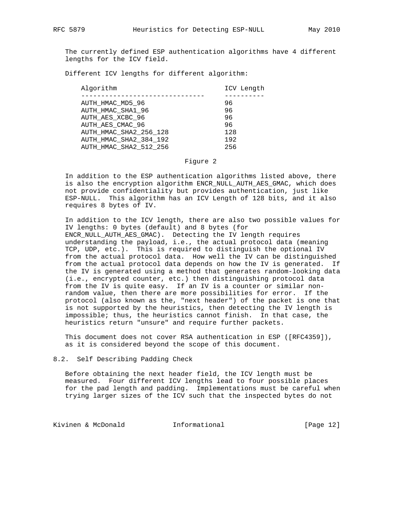The currently defined ESP authentication algorithms have 4 different lengths for the ICV field.

Different ICV lengths for different algorithm:

| Algorithm              | ICV Length |
|------------------------|------------|
|                        |            |
| AUTH HMAC MD5 96       | 96         |
| AUTH HMAC SHA1 96      | 96         |
| AUTH AES XCBC 96       | 96         |
| AUTH AES CMAC 96       | 96         |
| AUTH HMAC SHA2 256 128 | 128        |
| AUTH HMAC SHA2 384 192 | 192        |
| AUTH HMAC SHA2 512 256 | 256        |
|                        |            |

#### Figure 2

 In addition to the ESP authentication algorithms listed above, there is also the encryption algorithm ENCR\_NULL\_AUTH\_AES\_GMAC, which does not provide confidentiality but provides authentication, just like ESP-NULL. This algorithm has an ICV Length of 128 bits, and it also requires 8 bytes of IV.

 In addition to the ICV length, there are also two possible values for IV lengths: 0 bytes (default) and 8 bytes (for ENCR\_NULL\_AUTH\_AES\_GMAC). Detecting the IV length requires understanding the payload, i.e., the actual protocol data (meaning TCP, UDP, etc.). This is required to distinguish the optional IV from the actual protocol data. How well the IV can be distinguished from the actual protocol data depends on how the IV is generated. If the IV is generated using a method that generates random-looking data (i.e., encrypted counter, etc.) then distinguishing protocol data from the IV is quite easy. If an IV is a counter or similar non random value, then there are more possibilities for error. If the protocol (also known as the, "next header") of the packet is one that is not supported by the heuristics, then detecting the IV length is impossible; thus, the heuristics cannot finish. In that case, the heuristics return "unsure" and require further packets.

 This document does not cover RSA authentication in ESP ([RFC4359]), as it is considered beyond the scope of this document.

#### 8.2. Self Describing Padding Check

 Before obtaining the next header field, the ICV length must be measured. Four different ICV lengths lead to four possible places for the pad length and padding. Implementations must be careful when trying larger sizes of the ICV such that the inspected bytes do not

Kivinen & McDonald **Informational** [Page 12]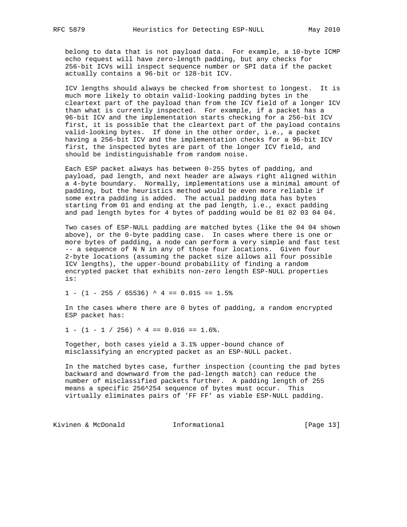belong to data that is not payload data. For example, a 10-byte ICMP echo request will have zero-length padding, but any checks for 256-bit ICVs will inspect sequence number or SPI data if the packet actually contains a 96-bit or 128-bit ICV.

 ICV lengths should always be checked from shortest to longest. It is much more likely to obtain valid-looking padding bytes in the cleartext part of the payload than from the ICV field of a longer ICV than what is currently inspected. For example, if a packet has a 96-bit ICV and the implementation starts checking for a 256-bit ICV first, it is possible that the cleartext part of the payload contains valid-looking bytes. If done in the other order, i.e., a packet having a 256-bit ICV and the implementation checks for a 96-bit ICV first, the inspected bytes are part of the longer ICV field, and should be indistinguishable from random noise.

 Each ESP packet always has between 0-255 bytes of padding, and payload, pad length, and next header are always right aligned within a 4-byte boundary. Normally, implementations use a minimal amount of padding, but the heuristics method would be even more reliable if some extra padding is added. The actual padding data has bytes starting from 01 and ending at the pad length, i.e., exact padding and pad length bytes for 4 bytes of padding would be 01 02 03 04 04.

 Two cases of ESP-NULL padding are matched bytes (like the 04 04 shown above), or the 0-byte padding case. In cases where there is one or more bytes of padding, a node can perform a very simple and fast test -- a sequence of N N in any of those four locations. Given four 2-byte locations (assuming the packet size allows all four possible ICV lengths), the upper-bound probability of finding a random encrypted packet that exhibits non-zero length ESP-NULL properties is:

 $1 - (1 - 255 / 65536)$   $4 = 0.015 == 1.5%$ 

 In the cases where there are 0 bytes of padding, a random encrypted ESP packet has:

 $1 - (1 - 1 / 256)$  ^ 4 == 0.016 == 1.6%.

 Together, both cases yield a 3.1% upper-bound chance of misclassifying an encrypted packet as an ESP-NULL packet.

 In the matched bytes case, further inspection (counting the pad bytes backward and downward from the pad-length match) can reduce the number of misclassified packets further. A padding length of 255 means a specific 256^254 sequence of bytes must occur. This virtually eliminates pairs of 'FF FF' as viable ESP-NULL padding.

Kivinen & McDonald **Informational** [Page 13]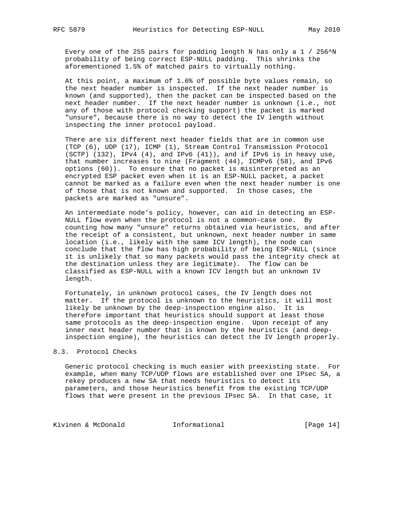Every one of the 255 pairs for padding length N has only a  $1 / 256^N$ N probability of being correct ESP-NULL padding. This shrinks the aforementioned 1.5% of matched pairs to virtually nothing.

 At this point, a maximum of 1.6% of possible byte values remain, so the next header number is inspected. If the next header number is known (and supported), then the packet can be inspected based on the next header number. If the next header number is unknown (i.e., not any of those with protocol checking support) the packet is marked "unsure", because there is no way to detect the IV length without inspecting the inner protocol payload.

 There are six different next header fields that are in common use (TCP (6), UDP (17), ICMP (1), Stream Control Transmission Protocol (SCTP) (132), IPv4 (4), and IPv6 (41)), and if IPv6 is in heavy use, that number increases to nine (Fragment (44), ICMPv6 (58), and IPv6 options (60)). To ensure that no packet is misinterpreted as an encrypted ESP packet even when it is an ESP-NULL packet, a packet cannot be marked as a failure even when the next header number is one of those that is not known and supported. In those cases, the packets are marked as "unsure".

 An intermediate node's policy, however, can aid in detecting an ESP- NULL flow even when the protocol is not a common-case one. By counting how many "unsure" returns obtained via heuristics, and after the receipt of a consistent, but unknown, next header number in same location (i.e., likely with the same ICV length), the node can conclude that the flow has high probability of being ESP-NULL (since it is unlikely that so many packets would pass the integrity check at the destination unless they are legitimate). The flow can be classified as ESP-NULL with a known ICV length but an unknown IV length.

 Fortunately, in unknown protocol cases, the IV length does not matter. If the protocol is unknown to the heuristics, it will most likely be unknown by the deep-inspection engine also. It is therefore important that heuristics should support at least those same protocols as the deep-inspection engine. Upon receipt of any inner next header number that is known by the heuristics (and deep inspection engine), the heuristics can detect the IV length properly.

## 8.3. Protocol Checks

 Generic protocol checking is much easier with preexisting state. For example, when many TCP/UDP flows are established over one IPsec SA, a rekey produces a new SA that needs heuristics to detect its parameters, and those heuristics benefit from the existing TCP/UDP flows that were present in the previous IPsec SA. In that case, it

Kivinen & McDonald **Informational** [Page 14]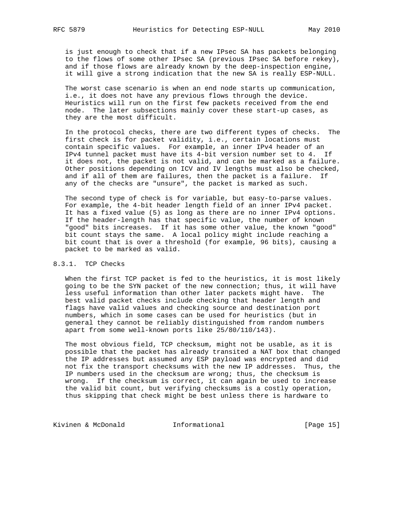is just enough to check that if a new IPsec SA has packets belonging to the flows of some other IPsec SA (previous IPsec SA before rekey), and if those flows are already known by the deep-inspection engine, it will give a strong indication that the new SA is really ESP-NULL.

 The worst case scenario is when an end node starts up communication, i.e., it does not have any previous flows through the device. Heuristics will run on the first few packets received from the end node. The later subsections mainly cover these start-up cases, as they are the most difficult.

 In the protocol checks, there are two different types of checks. The first check is for packet validity, i.e., certain locations must contain specific values. For example, an inner IPv4 header of an IPv4 tunnel packet must have its 4-bit version number set to 4. If it does not, the packet is not valid, and can be marked as a failure. Other positions depending on ICV and IV lengths must also be checked, and if all of them are failures, then the packet is a failure. If any of the checks are "unsure", the packet is marked as such.

 The second type of check is for variable, but easy-to-parse values. For example, the 4-bit header length field of an inner IPv4 packet. It has a fixed value (5) as long as there are no inner IPv4 options. If the header-length has that specific value, the number of known "good" bits increases. If it has some other value, the known "good" bit count stays the same. A local policy might include reaching a bit count that is over a threshold (for example, 96 bits), causing a packet to be marked as valid.

# 8.3.1. TCP Checks

 When the first TCP packet is fed to the heuristics, it is most likely going to be the SYN packet of the new connection; thus, it will have less useful information than other later packets might have. The best valid packet checks include checking that header length and flags have valid values and checking source and destination port numbers, which in some cases can be used for heuristics (but in general they cannot be reliably distinguished from random numbers apart from some well-known ports like 25/80/110/143).

 The most obvious field, TCP checksum, might not be usable, as it is possible that the packet has already transited a NAT box that changed the IP addresses but assumed any ESP payload was encrypted and did not fix the transport checksums with the new IP addresses. Thus, the IP numbers used in the checksum are wrong; thus, the checksum is wrong. If the checksum is correct, it can again be used to increase the valid bit count, but verifying checksums is a costly operation, thus skipping that check might be best unless there is hardware to

Kivinen & McDonald **Informational** [Page 15]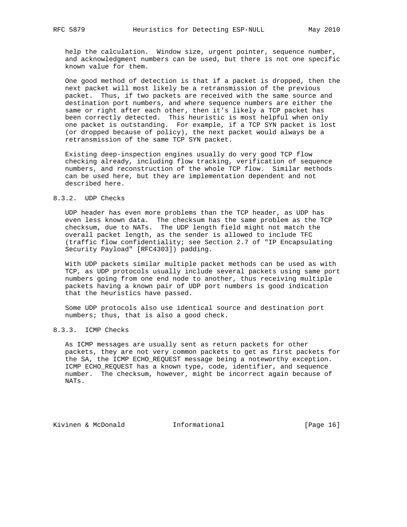help the calculation. Window size, urgent pointer, sequence number, and acknowledgment numbers can be used, but there is not one specific known value for them.

 One good method of detection is that if a packet is dropped, then the next packet will most likely be a retransmission of the previous packet. Thus, if two packets are received with the same source and destination port numbers, and where sequence numbers are either the same or right after each other, then it's likely a TCP packet has been correctly detected. This heuristic is most helpful when only one packet is outstanding. For example, if a TCP SYN packet is lost (or dropped because of policy), the next packet would always be a retransmission of the same TCP SYN packet.

 Existing deep-inspection engines usually do very good TCP flow checking already, including flow tracking, verification of sequence numbers, and reconstruction of the whole TCP flow. Similar methods can be used here, but they are implementation dependent and not described here.

## 8.3.2. UDP Checks

 UDP header has even more problems than the TCP header, as UDP has even less known data. The checksum has the same problem as the TCP checksum, due to NATs. The UDP length field might not match the overall packet length, as the sender is allowed to include TFC (traffic flow confidentiality; see Section 2.7 of "IP Encapsulating Security Payload" [RFC4303]) padding.

 With UDP packets similar multiple packet methods can be used as with TCP, as UDP protocols usually include several packets using same port numbers going from one end node to another, thus receiving multiple packets having a known pair of UDP port numbers is good indication that the heuristics have passed.

 Some UDP protocols also use identical source and destination port numbers; thus, that is also a good check.

# 8.3.3. ICMP Checks

 As ICMP messages are usually sent as return packets for other packets, they are not very common packets to get as first packets for the SA, the ICMP ECHO\_REQUEST message being a noteworthy exception. ICMP ECHO\_REQUEST has a known type, code, identifier, and sequence number. The checksum, however, might be incorrect again because of NATs.

Kivinen & McDonald **Informational** [Page 16]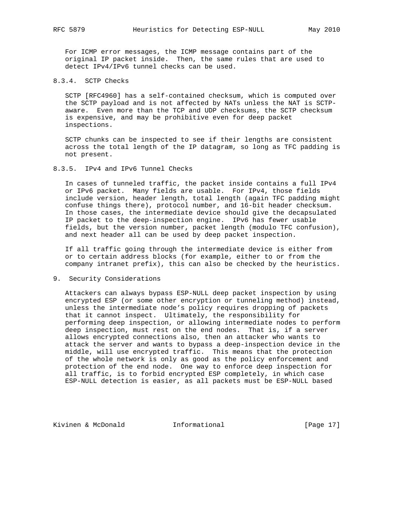For ICMP error messages, the ICMP message contains part of the original IP packet inside. Then, the same rules that are used to detect IPv4/IPv6 tunnel checks can be used.

# 8.3.4. SCTP Checks

 SCTP [RFC4960] has a self-contained checksum, which is computed over the SCTP payload and is not affected by NATs unless the NAT is SCTP aware. Even more than the TCP and UDP checksums, the SCTP checksum is expensive, and may be prohibitive even for deep packet inspections.

 SCTP chunks can be inspected to see if their lengths are consistent across the total length of the IP datagram, so long as TFC padding is not present.

## 8.3.5. IPv4 and IPv6 Tunnel Checks

 In cases of tunneled traffic, the packet inside contains a full IPv4 or IPv6 packet. Many fields are usable. For IPv4, those fields include version, header length, total length (again TFC padding might confuse things there), protocol number, and 16-bit header checksum. In those cases, the intermediate device should give the decapsulated IP packet to the deep-inspection engine. IPv6 has fewer usable fields, but the version number, packet length (modulo TFC confusion), and next header all can be used by deep packet inspection.

 If all traffic going through the intermediate device is either from or to certain address blocks (for example, either to or from the company intranet prefix), this can also be checked by the heuristics.

## 9. Security Considerations

 Attackers can always bypass ESP-NULL deep packet inspection by using encrypted ESP (or some other encryption or tunneling method) instead, unless the intermediate node's policy requires dropping of packets that it cannot inspect. Ultimately, the responsibility for performing deep inspection, or allowing intermediate nodes to perform deep inspection, must rest on the end nodes. That is, if a server allows encrypted connections also, then an attacker who wants to attack the server and wants to bypass a deep-inspection device in the middle, will use encrypted traffic. This means that the protection of the whole network is only as good as the policy enforcement and protection of the end node. One way to enforce deep inspection for all traffic, is to forbid encrypted ESP completely, in which case ESP-NULL detection is easier, as all packets must be ESP-NULL based

Kivinen & McDonald **Informational** [Page 17]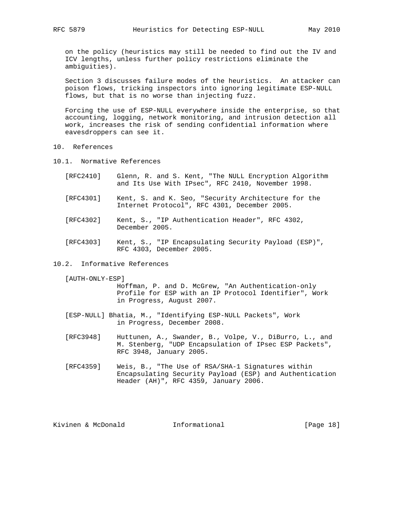on the policy (heuristics may still be needed to find out the IV and ICV lengths, unless further policy restrictions eliminate the ambiguities).

 Section 3 discusses failure modes of the heuristics. An attacker can poison flows, tricking inspectors into ignoring legitimate ESP-NULL flows, but that is no worse than injecting fuzz.

 Forcing the use of ESP-NULL everywhere inside the enterprise, so that accounting, logging, network monitoring, and intrusion detection all work, increases the risk of sending confidential information where eavesdroppers can see it.

- 10. References
- 10.1. Normative References

| i RFC2410 l |  |  |  | Glenn, R. and S. Kent, "The NULL Encryption Algorithm |  |
|-------------|--|--|--|-------------------------------------------------------|--|
|             |  |  |  | and Its Use With IPsec", RFC 2410, November 1998.     |  |

- [RFC4301] Kent, S. and K. Seo, "Security Architecture for the Internet Protocol", RFC 4301, December 2005.
- [RFC4302] Kent, S., "IP Authentication Header", RFC 4302, December 2005.
- [RFC4303] Kent, S., "IP Encapsulating Security Payload (ESP)", RFC 4303, December 2005.
- 10.2. Informative References

[AUTH-ONLY-ESP]

 Hoffman, P. and D. McGrew, "An Authentication-only Profile for ESP with an IP Protocol Identifier", Work in Progress, August 2007.

- [ESP-NULL] Bhatia, M., "Identifying ESP-NULL Packets", Work in Progress, December 2008.
- [RFC3948] Huttunen, A., Swander, B., Volpe, V., DiBurro, L., and M. Stenberg, "UDP Encapsulation of IPsec ESP Packets", RFC 3948, January 2005.
- [RFC4359] Weis, B., "The Use of RSA/SHA-1 Signatures within Encapsulating Security Payload (ESP) and Authentication Header (AH)", RFC 4359, January 2006.

Kivinen & McDonald **Informational** [Page 18]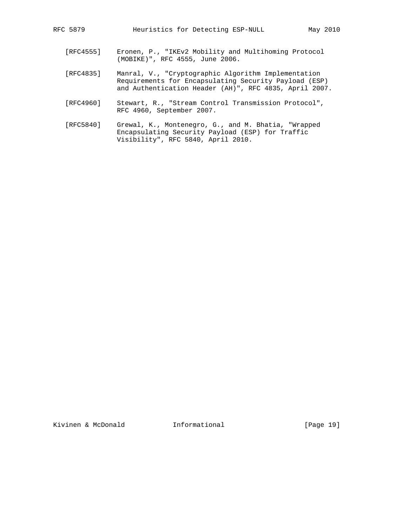- [RFC4555] Eronen, P., "IKEv2 Mobility and Multihoming Protocol (MOBIKE)", RFC 4555, June 2006.
- [RFC4835] Manral, V., "Cryptographic Algorithm Implementation Requirements for Encapsulating Security Payload (ESP) and Authentication Header (AH)", RFC 4835, April 2007.
- [RFC4960] Stewart, R., "Stream Control Transmission Protocol", RFC 4960, September 2007.
- [RFC5840] Grewal, K., Montenegro, G., and M. Bhatia, "Wrapped Encapsulating Security Payload (ESP) for Traffic Visibility", RFC 5840, April 2010.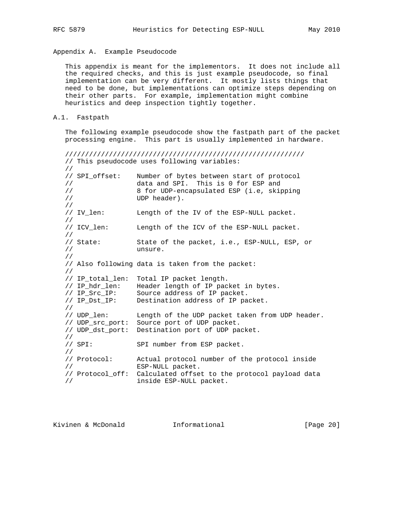Appendix A. Example Pseudocode

 This appendix is meant for the implementors. It does not include all the required checks, and this is just example pseudocode, so final implementation can be very different. It mostly lists things that need to be done, but implementations can optimize steps depending on their other parts. For example, implementation might combine heuristics and deep inspection tightly together.

A.1. Fastpath

 The following example pseudocode show the fastpath part of the packet processing engine. This part is usually implemented in hardware.

////////////////////////////////////////////////////////////

 // This pseudocode uses following variables: // // SPI\_offset: Number of bytes between start of protocol // data and SPI. This is 0 for ESP and // 8 for UDP-encapsulated ESP (i.e, skipping // UDP header). //<br>// IV\_len: Length of the IV of the ESP-NULL packet. // // ICV\_len: Length of the ICV of the ESP-NULL packet. //<br>// State: State of the packet, i.e., ESP-NULL, ESP, or // unsure. // // Also following data is taken from the packet: // // IP\_total\_len: Total IP packet length. // IP\_hdr\_len: Header length of IP packet in bytes. // IP\_Src\_IP: Source address of IP packet. // IP\_Dst\_IP: Destination address of IP packet. //<br>// UDP len: Length of the UDP packet taken from UDP header. // UDP\_src\_port: Source port of UDP packet. // UDP\_dst\_port: Destination port of UDP packet. //<br>// SPI: SPI number from ESP packet. // // Protocol: Actual protocol number of the protocol inside // ESP-NULL packet. // Protocol\_off: Calculated offset to the protocol payload data // inside ESP-NULL packet.

| Kivinen & McDonald |  |  | Informational | [Page $20$ ] |  |
|--------------------|--|--|---------------|--------------|--|
|--------------------|--|--|---------------|--------------|--|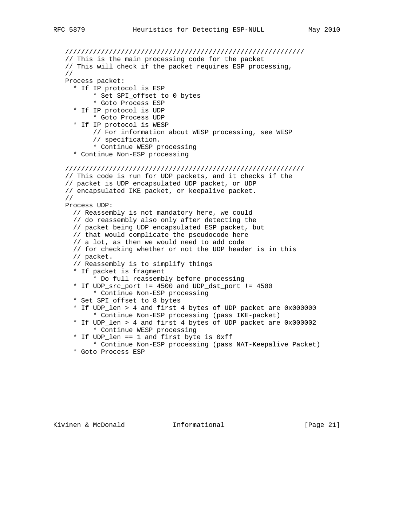//////////////////////////////////////////////////////////// // This is the main processing code for the packet // This will check if the packet requires ESP processing, // Process packet: \* If IP protocol is ESP \* Set SPI\_offset to 0 bytes \* Goto Process ESP \* If IP protocol is UDP \* Goto Process UDP \* If IP protocol is WESP // For information about WESP processing, see WESP // specification. \* Continue WESP processing \* Continue Non-ESP processing //////////////////////////////////////////////////////////// // This code is run for UDP packets, and it checks if the // packet is UDP encapsulated UDP packet, or UDP // encapsulated IKE packet, or keepalive packet. // Process UDP: // Reassembly is not mandatory here, we could // do reassembly also only after detecting the // packet being UDP encapsulated ESP packet, but // that would complicate the pseudocode here // a lot, as then we would need to add code // for checking whether or not the UDP header is in this // packet. // Reassembly is to simplify things \* If packet is fragment \* Do full reassembly before processing \* If UDP\_src\_port != 4500 and UDP\_dst\_port != 4500 \* Continue Non-ESP processing \* Set SPI\_offset to 8 bytes \* If UDP\_len > 4 and first 4 bytes of UDP packet are 0x000000 \* Continue Non-ESP processing (pass IKE-packet) \* If UDP\_len > 4 and first 4 bytes of UDP packet are 0x000002 \* Continue WESP processing \* If UDP\_len == 1 and first byte is 0xff \* Continue Non-ESP processing (pass NAT-Keepalive Packet) \* Goto Process ESP

Kivinen & McDonald Informational [Page 21]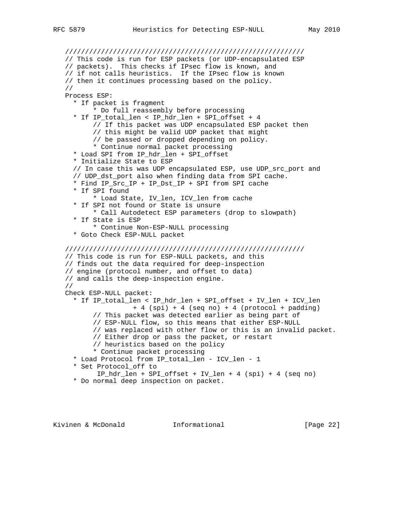```
 ////////////////////////////////////////////////////////////
 // This code is run for ESP packets (or UDP-encapsulated ESP
 // packets). This checks if IPsec flow is known, and
 // if not calls heuristics. If the IPsec flow is known
 // then it continues processing based on the policy.
 //
 Process ESP:
   * If packet is fragment
        * Do full reassembly before processing
  * If IP total len < IP hdr len + SPI offset + 4
        // If this packet was UDP encapsulated ESP packet then
        // this might be valid UDP packet that might
        // be passed or dropped depending on policy.
        * Continue normal packet processing
   * Load SPI from IP_hdr_len + SPI_offset
   * Initialize State to ESP
   // In case this was UDP encapsulated ESP, use UDP_src_port and
   // UDP_dst_port also when finding data from SPI cache.
   * Find IP_Src_IP + IP_Dst_IP + SPI from SPI cache
   * If SPI found
        * Load State, IV_len, ICV_len from cache
   * If SPI not found or State is unsure
        * Call Autodetect ESP parameters (drop to slowpath)
   * If State is ESP
        * Continue Non-ESP-NULL processing
   * Goto Check ESP-NULL packet
 ////////////////////////////////////////////////////////////
 // This code is run for ESP-NULL packets, and this
 // finds out the data required for deep-inspection
 // engine (protocol number, and offset to data)
 // and calls the deep-inspection engine.
 //
 Check ESP-NULL packet:
   * If IP_total_len < IP_hdr_len + SPI_offset + IV_len + ICV_len
                  + 4 (spi) + 4 (seq no) + 4 (protocol + padding)
        // This packet was detected earlier as being part of
        // ESP-NULL flow, so this means that either ESP-NULL
        // was replaced with other flow or this is an invalid packet.
        // Either drop or pass the packet, or restart
        // heuristics based on the policy
        * Continue packet processing
   * Load Protocol from IP_total_len - ICV_len - 1
   * Set Protocol_off to
         IP_hdr_len + SPI_offset + IV_len + 4 (spi) + 4 (seq no)
   * Do normal deep inspection on packet.
```
Kivinen & McDonald **Informational** [Page 22]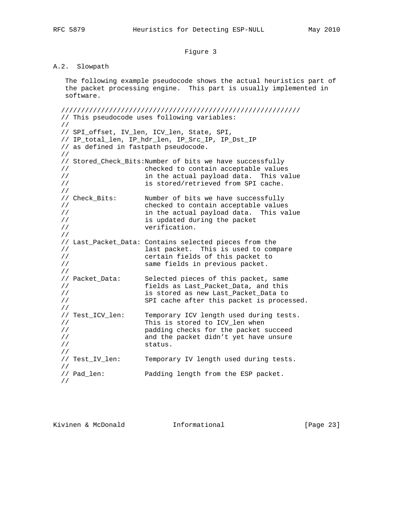# Figure 3

# A.2. Slowpath

 The following example pseudocode shows the actual heuristics part of the packet processing engine. This part is usually implemented in software.

 //////////////////////////////////////////////////////////// // This pseudocode uses following variables: // // SPI\_offset, IV\_len, ICV\_len, State, SPI, // IP\_total\_len, IP\_hdr\_len, IP\_Src\_IP, IP\_Dst\_IP // as defined in fastpath pseudocode. // // Stored\_Check\_Bits:Number of bits we have successfully // checked to contain acceptable values // in the actual payload data. This value // is stored/retrieved from SPI cache. // // Check\_Bits: Number of bits we have successfully // checked to contain acceptable values // in the actual payload data. This value // is updated during the packet<br>// verification. verification. // // Last\_Packet\_Data: Contains selected pieces from the // last packet. This is used to compare // certain fields of this packet to // same fields in previous packet. // // Packet\_Data: Selected pieces of this packet, same // fields as Last\_Packet\_Data, and this // is stored as new Last\_Packet\_Data to // SPI cache after this packet is processed. //<br>// Test\_ICV\_len: Temporary ICV length used during tests. // This is stored to ICV\_len when // padding checks for the packet succeed // and the packet didn't yet have unsure // status. //<br>// Test\_IV\_len: Temporary IV length used during tests. // // Pad\_len: Padding length from the ESP packet. //

Kivinen & McDonald Informational [Page 23]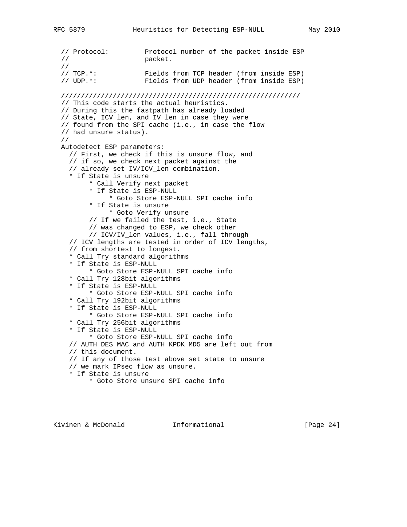// Protocol: Protocol number of the packet inside ESP // packet. //<br>// TCP.\*: Fields from TCP header (from inside ESP) // UDP.\*: Fields from UDP header (from inside ESP) //////////////////////////////////////////////////////////// // This code starts the actual heuristics. // During this the fastpath has already loaded // State, ICV\_len, and IV\_len in case they were // found from the SPI cache (i.e., in case the flow // had unsure status). // Autodetect ESP parameters: // First, we check if this is unsure flow, and // if so, we check next packet against the // already set IV/ICV\_len combination. \* If State is unsure \* Call Verify next packet \* If State is ESP-NULL \* Goto Store ESP-NULL SPI cache info \* If State is unsure \* Goto Verify unsure // If we failed the test, i.e., State // was changed to ESP, we check other // ICV/IV\_len values, i.e., fall through // ICV lengths are tested in order of ICV lengths, // from shortest to longest. \* Call Try standard algorithms \* If State is ESP-NULL \* Goto Store ESP-NULL SPI cache info \* Call Try 128bit algorithms \* If State is ESP-NULL \* Goto Store ESP-NULL SPI cache info \* Call Try 192bit algorithms \* If State is ESP-NULL \* Goto Store ESP-NULL SPI cache info \* Call Try 256bit algorithms \* If State is ESP-NULL \* Goto Store ESP-NULL SPI cache info // AUTH\_DES\_MAC and AUTH\_KPDK\_MD5 are left out from // this document. // If any of those test above set state to unsure // we mark IPsec flow as unsure. \* If State is unsure \* Goto Store unsure SPI cache info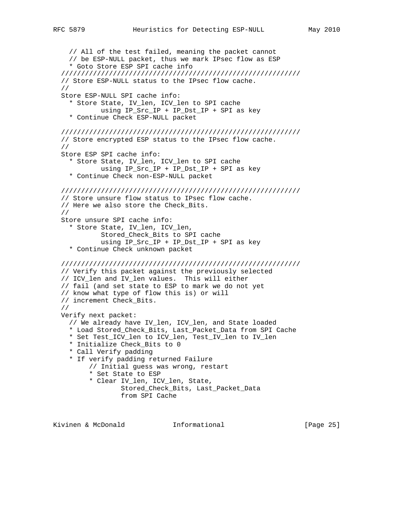// All of the test failed, meaning the packet cannot // be ESP-NULL packet, thus we mark IPsec flow as ESP \* Goto Store ESP SPI cache info //////////////////////////////////////////////////////////// // Store ESP-NULL status to the IPsec flow cache. // Store ESP-NULL SPI cache info: \* Store State, IV\_len, ICV\_len to SPI cache using IP\_Src\_IP + IP\_Dst\_IP + SPI as key \* Continue Check ESP-NULL packet //////////////////////////////////////////////////////////// // Store encrypted ESP status to the IPsec flow cache. // Store ESP SPI cache info: \* Store State, IV\_len, ICV\_len to SPI cache using IP\_Src\_IP + IP\_Dst\_IP + SPI as key \* Continue Check non-ESP-NULL packet //////////////////////////////////////////////////////////// // Store unsure flow status to IPsec flow cache. // Here we also store the Check\_Bits. // Store unsure SPI cache info: \* Store State, IV\_len, ICV\_len, Stored\_Check\_Bits to SPI cache using IP\_Src\_IP + IP\_Dst\_IP + SPI as key \* Continue Check unknown packet //////////////////////////////////////////////////////////// // Verify this packet against the previously selected // ICV\_len and IV\_len values. This will either // fail (and set state to ESP to mark we do not yet // know what type of flow this is) or will // increment Check\_Bits. // Verify next packet: // We already have IV\_len, ICV\_len, and State loaded \* Load Stored\_Check\_Bits, Last\_Packet\_Data from SPI Cache \* Set Test\_ICV\_len to ICV\_len, Test\_IV\_len to IV\_len \* Initialize Check\_Bits to 0 \* Call Verify padding \* If verify padding returned Failure // Initial guess was wrong, restart \* Set State to ESP \* Clear IV\_len, ICV\_len, State, Stored\_Check\_Bits, Last\_Packet\_Data from SPI Cache

Kivinen & McDonald Informational [Page 25]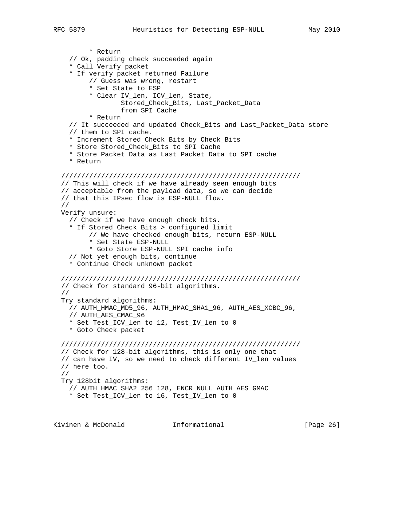```
 * Return
   // Ok, padding check succeeded again
   * Call Verify packet
   * If verify packet returned Failure
        // Guess was wrong, restart
        * Set State to ESP
        * Clear IV_len, ICV_len, State,
                Stored_Check_Bits, Last_Packet_Data
                from SPI Cache
        * Return
   // It succeeded and updated Check_Bits and Last_Packet_Data store
   // them to SPI cache.
   * Increment Stored_Check_Bits by Check_Bits
   * Store Stored_Check_Bits to SPI Cache
   * Store Packet_Data as Last_Packet_Data to SPI cache
   * Return
 ////////////////////////////////////////////////////////////
 // This will check if we have already seen enough bits
 // acceptable from the payload data, so we can decide
 // that this IPsec flow is ESP-NULL flow.
 //
 Verify unsure:
   // Check if we have enough check bits.
   * If Stored_Check_Bits > configured limit
        // We have checked enough bits, return ESP-NULL
        * Set State ESP-NULL
        * Goto Store ESP-NULL SPI cache info
   // Not yet enough bits, continue
   * Continue Check unknown packet
 ////////////////////////////////////////////////////////////
 // Check for standard 96-bit algorithms.
 //
 Try standard algorithms:
  // AUTH_HMAC_MD5_96, AUTH_HMAC_SHA1_96, AUTH_AES_XCBC_96,
   // AUTH_AES_CMAC_96
   * Set Test_ICV_len to 12, Test_IV_len to 0
   * Goto Check packet
 ////////////////////////////////////////////////////////////
 // Check for 128-bit algorithms, this is only one that
 // can have IV, so we need to check different IV_len values
 // here too.
 //
 Try 128bit algorithms:
   // AUTH_HMAC_SHA2_256_128, ENCR_NULL_AUTH_AES_GMAC
   * Set Test_ICV_len to 16, Test_IV_len to 0
```
Kivinen & McDonald **Informational** [Page 26]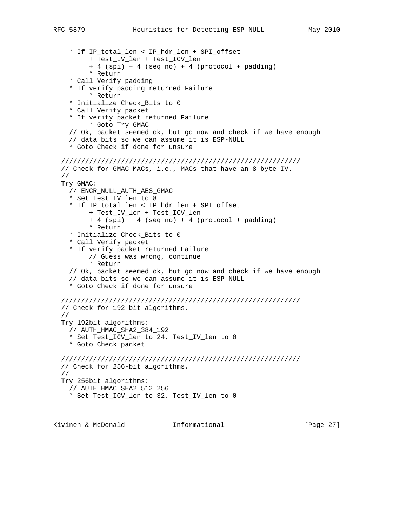+ 4 (spi) + 4 (seq no) + 4 (protocol + padding)

 \* If IP\_total\_len < IP\_hdr\_len + SPI\_offset + Test\_IV\_len + Test\_ICV\_len

```
 * Return
   * Call Verify padding
   * If verify padding returned Failure
        * Return
   * Initialize Check_Bits to 0
   * Call Verify packet
   * If verify packet returned Failure
        * Goto Try GMAC
   // Ok, packet seemed ok, but go now and check if we have enough
   // data bits so we can assume it is ESP-NULL
   * Goto Check if done for unsure
 ////////////////////////////////////////////////////////////
 // Check for GMAC MACs, i.e., MACs that have an 8-byte IV.
 //
 Try GMAC:
  // ENCR_NULL_AUTH_AES_GMAC
   * Set Test_IV_len to 8
   * If IP_total_len < IP_hdr_len + SPI_offset
        + Test_IV_len + Test_ICV_len
        + 4 (spi) + 4 (seq no) + 4 (protocol + padding)
        * Return
   * Initialize Check_Bits to 0
   * Call Verify packet
   * If verify packet returned Failure
        // Guess was wrong, continue
        * Return
   // Ok, packet seemed ok, but go now and check if we have enough
   // data bits so we can assume it is ESP-NULL
   * Goto Check if done for unsure
 ////////////////////////////////////////////////////////////
 // Check for 192-bit algorithms.
 //
 Try 192bit algorithms:
  // AUTH_HMAC_SHA2_384_192
   * Set Test_ICV_len to 24, Test_IV_len to 0
   * Goto Check packet
 ////////////////////////////////////////////////////////////
 // Check for 256-bit algorithms.
 //
 Try 256bit algorithms:
   // AUTH_HMAC_SHA2_512_256
   * Set Test_ICV_len to 32, Test_IV_len to 0
```
Kivinen & McDonald Informational [Page 27]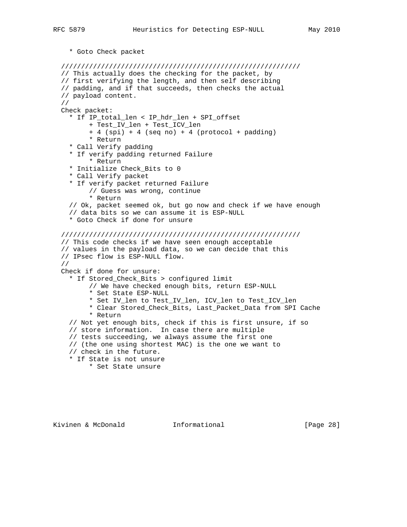\* Goto Check packet

```
 ////////////////////////////////////////////////////////////
 // This actually does the checking for the packet, by
 // first verifying the length, and then self describing
 // padding, and if that succeeds, then checks the actual
 // payload content.
 //
 Check packet:
  * If IP total len < IP hdr len + SPI offset
        + Test_IV_len + Test_ICV_len
        + 4 (spi) + 4 (seq no) + 4 (protocol + padding)
        * Return
   * Call Verify padding
   * If verify padding returned Failure
        * Return
   * Initialize Check_Bits to 0
   * Call Verify packet
   * If verify packet returned Failure
        // Guess was wrong, continue
        * Return
   // Ok, packet seemed ok, but go now and check if we have enough
   // data bits so we can assume it is ESP-NULL
   * Goto Check if done for unsure
 ////////////////////////////////////////////////////////////
 // This code checks if we have seen enough acceptable
 // values in the payload data, so we can decide that this
 // IPsec flow is ESP-NULL flow.
 //
 Check if done for unsure:
   * If Stored_Check_Bits > configured limit
        // We have checked enough bits, return ESP-NULL
        * Set State ESP-NULL
        * Set IV_len to Test_IV_len, ICV_len to Test_ICV_len
        * Clear Stored_Check_Bits, Last_Packet_Data from SPI Cache
        * Return
   // Not yet enough bits, check if this is first unsure, if so
   // store information. In case there are multiple
   // tests succeeding, we always assume the first one
   // (the one using shortest MAC) is the one we want to
   // check in the future.
   * If State is not unsure
        * Set State unsure
```
Kivinen & McDonald **Informational** [Page 28]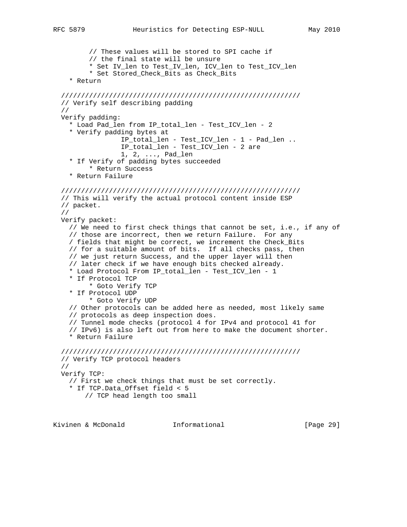// These values will be stored to SPI cache if // the final state will be unsure \* Set IV\_len to Test\_IV\_len, ICV\_len to Test\_ICV\_len \* Set Stored\_Check\_Bits as Check\_Bits \* Return //////////////////////////////////////////////////////////// // Verify self describing padding // Verify padding: \* Load Pad\_len from IP\_total\_len - Test\_ICV\_len - 2 \* Verify padding bytes at IP\_total\_len - Test\_ICV\_len - 1 - Pad\_len .. IP\_total\_len - Test\_ICV\_len - 2 are 1, 2, ..., Pad\_len \* If Verify of padding bytes succeeded \* Return Success \* Return Failure //////////////////////////////////////////////////////////// // This will verify the actual protocol content inside ESP // packet. // Verify packet: // We need to first check things that cannot be set, i.e., if any of // those are incorrect, then we return Failure. For any / fields that might be correct, we increment the Check\_Bits // for a suitable amount of bits. If all checks pass, then // we just return Success, and the upper layer will then // later check if we have enough bits checked already. \* Load Protocol From IP\_total\_len - Test\_ICV\_len - 1 \* If Protocol TCP \* Goto Verify TCP \* If Protocol UDP \* Goto Verify UDP // Other protocols can be added here as needed, most likely same // protocols as deep inspection does. // Tunnel mode checks (protocol 4 for IPv4 and protocol 41 for // IPv6) is also left out from here to make the document shorter. \* Return Failure //////////////////////////////////////////////////////////// // Verify TCP protocol headers // Verify TCP: // First we check things that must be set correctly. \* If TCP.Data\_Offset field < 5 // TCP head length too small

Kivinen & McDonald Informational [Page 29]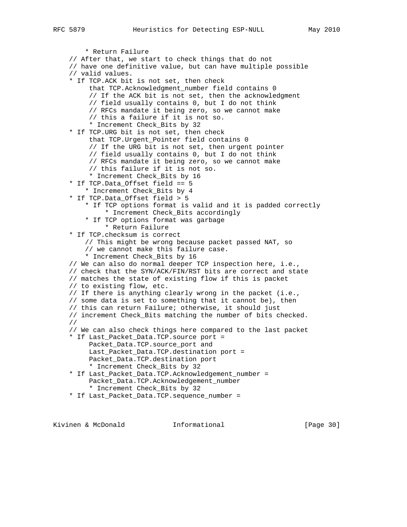\* Return Failure // After that, we start to check things that do not // have one definitive value, but can have multiple possible // valid values. \* If TCP.ACK bit is not set, then check that TCP.Acknowledgment\_number field contains 0 // If the ACK bit is not set, then the acknowledgment // field usually contains 0, but I do not think // RFCs mandate it being zero, so we cannot make // this a failure if it is not so. \* Increment Check\_Bits by 32 \* If TCP.URG bit is not set, then check that TCP. Urgent Pointer field contains 0 // If the URG bit is not set, then urgent pointer // field usually contains 0, but I do not think // RFCs mandate it being zero, so we cannot make // this failure if it is not so. \* Increment Check\_Bits by 16 \* If TCP.Data\_Offset field == 5 \* Increment Check\_Bits by 4 \* If TCP.Data\_Offset field > 5 \* If TCP options format is valid and it is padded correctly \* Increment Check\_Bits accordingly \* If TCP options format was garbage \* Return Failure \* If TCP.checksum is correct // This might be wrong because packet passed NAT, so // we cannot make this failure case. \* Increment Check\_Bits by 16 // We can also do normal deeper TCP inspection here, i.e., // check that the SYN/ACK/FIN/RST bits are correct and state // matches the state of existing flow if this is packet // to existing flow, etc. // If there is anything clearly wrong in the packet (i.e., // some data is set to something that it cannot be), then // this can return Failure; otherwise, it should just // increment Check\_Bits matching the number of bits checked. // // We can also check things here compared to the last packet \* If Last\_Packet\_Data.TCP.source port = Packet\_Data.TCP.source\_port and Last\_Packet\_Data.TCP.destination port = Packet\_Data.TCP.destination port \* Increment Check\_Bits by 32 \* If Last\_Packet\_Data.TCP.Acknowledgement\_number = Packet\_Data.TCP.Acknowledgement\_number \* Increment Check\_Bits by 32 \* If Last\_Packet\_Data.TCP.sequence\_number =

Kivinen & McDonald **Informational Informational** [Page 30]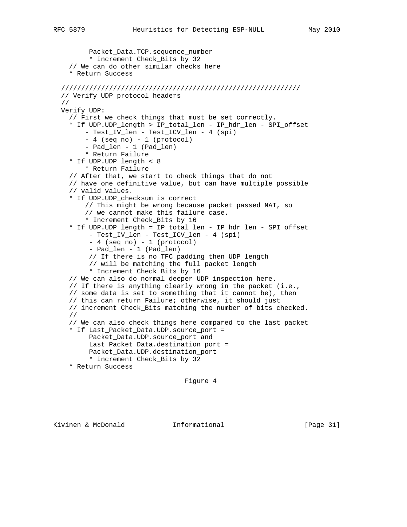```
 Packet_Data.TCP.sequence_number
          * Increment Check_Bits by 32
     // We can do other similar checks here
     * Return Success
  ////////////////////////////////////////////////////////////
  // Verify UDP protocol headers
  //
  Verify UDP:
    // First we check things that must be set correctly.
     * If UDP.UDP_length > IP_total_len - IP_hdr_len - SPI_offset
         - Test_IV_len - Test_ICV_len - 4 (spi)
         - 4 (seq no) - 1 (protocol)
         - Pad_len - 1 (Pad_len)
         * Return Failure
     * If UDP.UDP_length < 8
         * Return Failure
     // After that, we start to check things that do not
     // have one definitive value, but can have multiple possible
     // valid values.
     * If UDP.UDP_checksum is correct
         // This might be wrong because packet passed NAT, so
         // we cannot make this failure case.
         * Increment Check_Bits by 16
     * If UDP.UDP_length = IP_total_len - IP_hdr_len - SPI_offset
 - Test_IV_len - Test_ICV_len - 4 (spi)
 - 4 (seq no) - 1 (protocol)
          - Pad_len - 1 (Pad_len)
         // If there is no TFC padding then UDP_length
         // will be matching the full packet length
          * Increment Check_Bits by 16
     // We can also do normal deeper UDP inspection here.
     // If there is anything clearly wrong in the packet (i.e.,
    // some data is set to something that it cannot be), then
    // this can return Failure; otherwise, it should just
    // increment Check_Bits matching the number of bits checked.
    //
    // We can also check things here compared to the last packet
     * If Last_Packet_Data.UDP.source_port =
        Packet Data.UDP.source port and
         Last_Packet_Data.destination_port =
         Packet_Data.UDP.destination_port
         * Increment Check_Bits by 32
     * Return Success
```
Figure 4

Kivinen & McDonald Informational [Page 31]